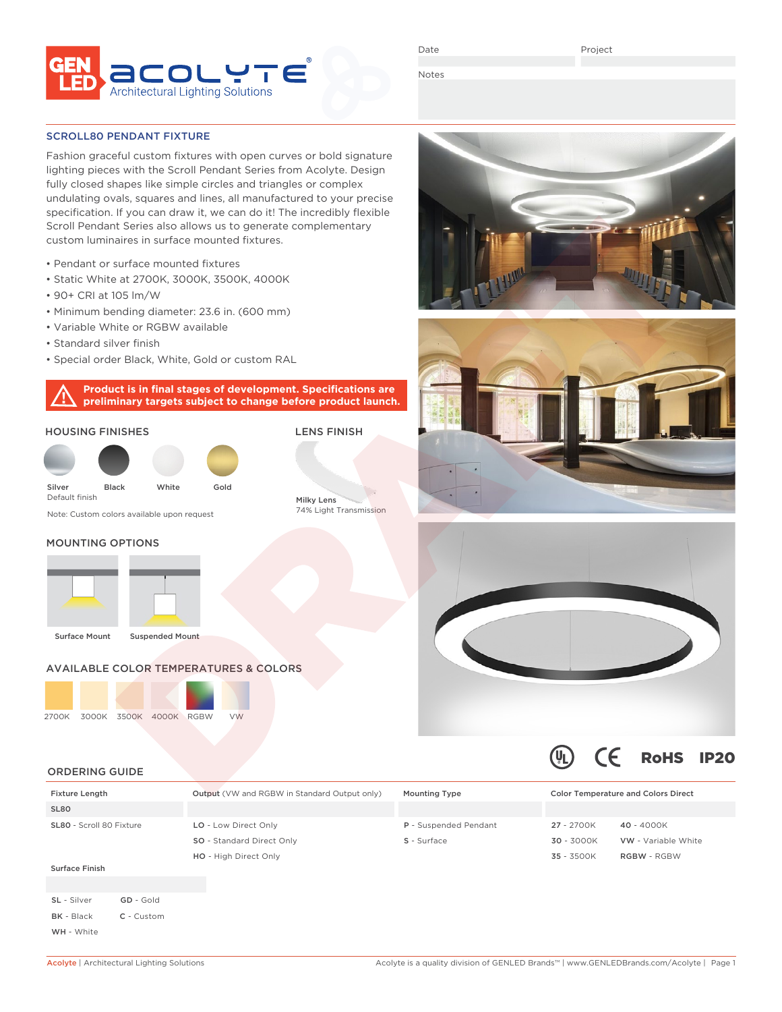

Date

Project

Notes

#### SCROLL80 PENDANT FIXTURE

Fashion graceful custom fixtures with open curves or bold signature lighting pieces with the Scroll Pendant Series from Acolyte. Design fully closed shapes like simple circles and triangles or complex undulating ovals, squares and lines, all manufactured to your precise specification. If you can draw it, we can do it! The incredibly flexible Scroll Pendant Series also allows us to generate complementary custom luminaires in surface mounted fixtures.

- Pendant or surface mounted fixtures
- Static White at 2700K, 3000K, 3500K, 4000K
- 90+ CRI at 105 lm/W
- Minimum bending diameter: 23.6 in. (600 mm)
- Variable White or RGBW available
- Standard silver finish
- Special order Black, White, Gold or custom RAL

**Product is in final stages of development. Specifications are preliminary targets subject to change before product launch.**

#### HOUSING FINISHES

| Silver<br>Default finish | <b>Black</b> | White | Gold |
|--------------------------|--------------|-------|------|

Note: Custom colors available upon request

# Milky Lens 74% Light Transmission

LENS FINISH

## MOUNTING OPTIONS





# AVAILABLE COLOR TEMPERATURES & COLORS





## ORDERING GUIDE

| <b>Fixture Length</b>    |           | <b>Output</b> (VW and RGBW in Standard Output only) | <b>Mounting Type</b>  |              | <b>Color Temperature and Colors Direct</b> |  |
|--------------------------|-----------|-----------------------------------------------------|-----------------------|--------------|--------------------------------------------|--|
| SL80                     |           |                                                     |                       |              |                                            |  |
| SL80 - Scroll 80 Fixture |           | LO - Low Direct Only                                | P - Suspended Pendant | 27 - 2700K   | 40 - 4000K                                 |  |
|                          |           | SO - Standard Direct Only                           | S - Surface           | 30 - 3000K   | VW - Variable White                        |  |
|                          |           | HO - High Direct Only                               |                       | $35 - 3500K$ | <b>RGBW - RGBW</b>                         |  |
| <b>Surface Finish</b>    |           |                                                     |                       |              |                                            |  |
|                          |           |                                                     |                       |              |                                            |  |
| SL - Silver              | GD - Gold |                                                     |                       |              |                                            |  |

BK - Black C - Custom

WH - White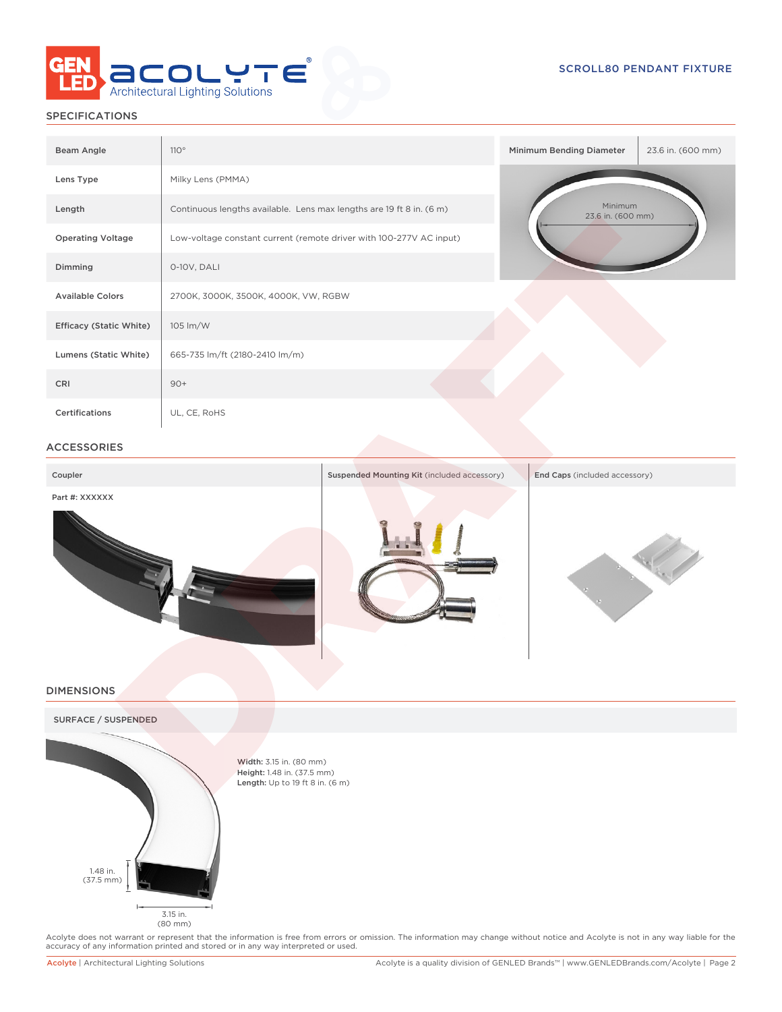

## SPECIFICATIONS

| Beam Angle                     | 110°                                                                 | Minimum Bending Diameter     | 23.6 in. (600 mm) |
|--------------------------------|----------------------------------------------------------------------|------------------------------|-------------------|
| Lens Type                      | Milky Lens (PMMA)                                                    |                              |                   |
| Length                         | Continuous lengths available. Lens max lengths are 19 ft 8 in. (6 m) | Minimum<br>23.6 in. (600 mm) |                   |
| <b>Operating Voltage</b>       | Low-voltage constant current (remote driver with 100-277V AC input)  |                              |                   |
| Dimming                        | 0-10V, DALI                                                          |                              |                   |
| <b>Available Colors</b>        | 2700K, 3000K, 3500K, 4000K, VW, RGBW                                 |                              |                   |
| <b>Efficacy (Static White)</b> | 105 lm/W                                                             |                              |                   |
| Lumens (Static White)          | 665-735 lm/ft (2180-2410 lm/m)                                       |                              |                   |
| CRI                            | $90+$                                                                |                              |                   |
| <b>Certifications</b>          | UL, CE, RoHS                                                         |                              |                   |

#### ACCESSORIES

| Coupler            | Suspended Mounting Kit (included accessory) | End Caps (included accessory) |
|--------------------|---------------------------------------------|-------------------------------|
| Part #: XXXXXX     |                                             |                               |
|                    |                                             |                               |
| <b>DIMENCIONIC</b> |                                             |                               |

#### DIMENSIONS





Width: 3.15 in. (80 mm) Height: 1.48 in. (37.5 mm) Length: Up to 19 ft 8 in. (6 m)

Acolyte does not warrant or represent that the information is free from errors or omission. The information may change without notice and Acolyte is not in any way liable for the<br>accuracy of any information printed and sto